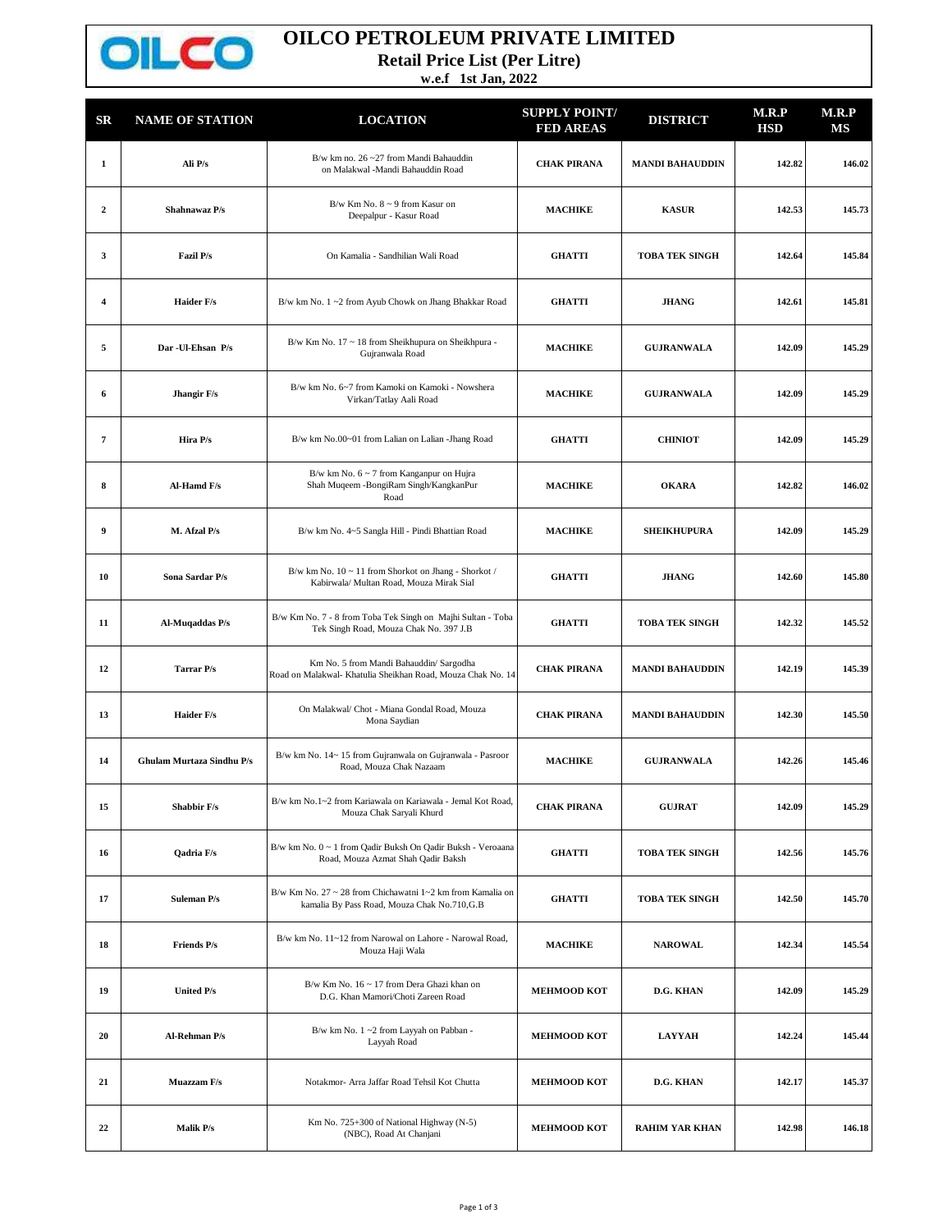

## **OILCO PETROLEUM PRIVATE LIMITED**

**Retail Price List (Per Litre)**

**w.e.f 1st Jan, 2022**

| $_{\rm SR}$             | <b>NAME OF STATION</b>           | <b>LOCATION</b>                                                                                            | <b>SUPPLY POINT/</b><br><b>FED AREAS</b> | <b>DISTRICT</b>        | M.R.P<br><b>HSD</b> | M.R.P<br>MS |
|-------------------------|----------------------------------|------------------------------------------------------------------------------------------------------------|------------------------------------------|------------------------|---------------------|-------------|
| $\mathbf{1}$            | Ali P/s                          | B/w km no. $26 - 27$ from Mandi Bahauddin<br>on Malakwal -Mandi Bahauddin Road                             | <b>CHAK PIRANA</b>                       | <b>MANDI BAHAUDDIN</b> | 142.82              | 146.02      |
| $\mathbf{2}$            | Shahnawaz P/s                    | B/w Km No. $8 \sim 9$ from Kasur on<br>Deepalpur - Kasur Road                                              | <b>MACHIKE</b>                           | <b>KASUR</b>           | 142.53              | 145.73      |
| 3                       | Fazil P/s                        | On Kamalia - Sandhilian Wali Road                                                                          | <b>GHATTI</b>                            | <b>TOBA TEK SINGH</b>  | 142.64              | 145.84      |
| $\overline{\mathbf{4}}$ | <b>Haider F/s</b>                | B/w km No. 1~2 from Ayub Chowk on Jhang Bhakkar Road                                                       | <b>GHATTI</b>                            | <b>JHANG</b>           | 142.61              | 145.81      |
| 5                       | Dar - Ul-Ehsan P/s               | B/w Km No. 17 ~ 18 from Sheikhupura on Sheikhpura -<br>Gujranwala Road                                     | <b>MACHIKE</b>                           | <b>GUJRANWALA</b>      | 142.09              | 145.29      |
| 6                       | Jhangir F/s                      | B/w km No. 6~7 from Kamoki on Kamoki - Nowshera<br>Virkan/Tatlay Aali Road                                 | <b>MACHIKE</b>                           | <b>GUJRANWALA</b>      | 142.09              | 145.29      |
| 7                       | Hira P/s                         | B/w km No.00~01 from Lalian on Lalian -Jhang Road                                                          | <b>GHATTI</b>                            | <b>CHINIOT</b>         | 142.09              | 145.29      |
| 8                       | Al-Hamd F/s                      | B/w km No. $6 \sim 7$ from Kanganpur on Hujra<br>Shah Muqeem - BongiRam Singh/KangkanPur<br>Road           | <b>MACHIKE</b>                           | <b>OKARA</b>           | 142.82              | 146.02      |
| 9                       | M. Afzal P/s                     | B/w km No. 4~5 Sangla Hill - Pindi Bhattian Road                                                           | <b>MACHIKE</b>                           | <b>SHEIKHUPURA</b>     | 142.09              | 145.29      |
| 10                      | Sona Sardar P/s                  | B/w km No. 10 ~ 11 from Shorkot on Jhang - Shorkot /<br>Kabirwala/ Multan Road, Mouza Mirak Sial           | <b>GHATTI</b>                            | <b>JHANG</b>           | 142.60              | 145.80      |
| 11                      | Al-Muqaddas P/s                  | B/w Km No. 7 - 8 from Toba Tek Singh on Majhi Sultan - Toba<br>Tek Singh Road, Mouza Chak No. 397 J.B      | <b>GHATTI</b>                            | <b>TOBA TEK SINGH</b>  | 142.32              | 145.52      |
| 12                      | Tarrar P/s                       | Km No. 5 from Mandi Bahauddin/ Sargodha<br>Road on Malakwal- Khatulia Sheikhan Road, Mouza Chak No. 14     | <b>CHAK PIRANA</b>                       | <b>MANDI BAHAUDDIN</b> | 142.19              | 145.39      |
| 13                      | Haider F/s                       | On Malakwal/ Chot - Miana Gondal Road, Mouza<br>Mona Saydian                                               | <b>CHAK PIRANA</b>                       | <b>MANDI BAHAUDDIN</b> | 142.30              | 145.50      |
| 14                      | <b>Ghulam Murtaza Sindhu P/s</b> | B/w km No. 14~15 from Gujranwala on Gujranwala - Pasroor<br>Road, Mouza Chak Nazaam                        | <b>MACHIKE</b>                           | <b>GUJRANWALA</b>      | 142.26              | 145.46      |
| 15                      | Shabbir F/s                      | B/w km No.1~2 from Kariawala on Kariawala - Jemal Kot Road,<br>Mouza Chak Saryali Khurd                    | <b>CHAK PIRANA</b>                       | <b>GUJRAT</b>          | 142.09              | 145.29      |
| 16                      | Qadria F/s                       | B/w km No. 0 ~ 1 from Qadir Buksh On Qadir Buksh - Veroaana<br>Road, Mouza Azmat Shah Qadir Baksh          | <b>GHATTI</b>                            | <b>TOBA TEK SINGH</b>  | 142.56              | 145.76      |
| 17                      | <b>Suleman P/s</b>               | B/w Km No. 27 ~ 28 from Chichawatni 1~2 km from Kamalia on<br>kamalia By Pass Road, Mouza Chak No.710, G.B | <b>GHATTI</b>                            | <b>TOBA TEK SINGH</b>  | 142.50              | 145.70      |
| 18                      | <b>Friends P/s</b>               | B/w km No. 11~12 from Narowal on Lahore - Narowal Road,<br>Mouza Haji Wala                                 | <b>MACHIKE</b>                           | <b>NAROWAL</b>         | 142.34              | 145.54      |
| 19                      | United P/s                       | B/w Km No. 16 ~ 17 from Dera Ghazi khan on<br>D.G. Khan Mamori/Choti Zareen Road                           | <b>MEHMOOD KOT</b>                       | D.G. KHAN              | 142.09              | 145.29      |
| 20                      | <b>Al-Rehman P/s</b>             | B/w km No. 1~2 from Layyah on Pabban -<br>Layyah Road                                                      | <b>MEHMOOD KOT</b>                       | <b>LAYYAH</b>          | 142.24              | 145.44      |
| 21                      | Muazzam F/s                      | Notakmor- Arra Jaffar Road Tehsil Kot Chutta                                                               | <b>MEHMOOD KOT</b>                       | D.G. KHAN              | 142.17              | 145.37      |
| 22                      | Malik P/s                        | Km No. 725+300 of National Highway (N-5)<br>(NBC), Road At Chanjani                                        | <b>MEHMOOD KOT</b>                       | <b>RAHIM YAR KHAN</b>  | 142.98              | 146.18      |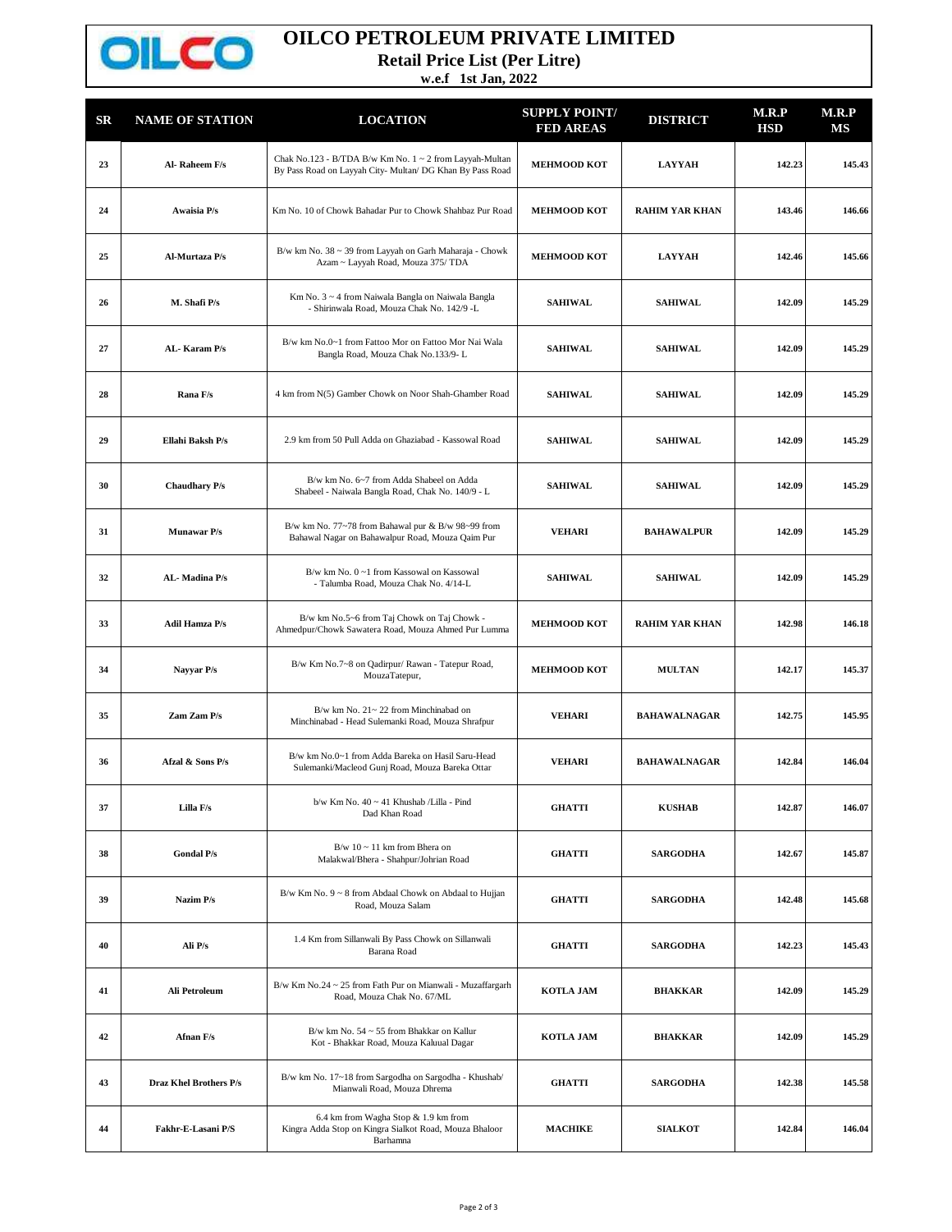

## **OILCO PETROLEUM PRIVATE LIMITED**

**Retail Price List (Per Litre)**

**w.e.f 1st Jan, 2022**

| SR | <b>NAME OF STATION</b>        | <b>LOCATION</b>                                                                                                      | <b>SUPPLY POINT/</b><br><b>FED AREAS</b> | <b>DISTRICT</b>       | M.R.P<br><b>HSD</b> | M.R.P<br>MS |
|----|-------------------------------|----------------------------------------------------------------------------------------------------------------------|------------------------------------------|-----------------------|---------------------|-------------|
| 23 | Al-Raheem F/s                 | Chak No.123 - B/TDA B/w Km No. 1 ~ 2 from Layyah-Multan<br>By Pass Road on Layyah City- Multan/ DG Khan By Pass Road | <b>MEHMOOD KOT</b>                       | <b>LAYYAH</b>         | 142.23              | 145.43      |
| 24 | Awaisia P/s                   | Km No. 10 of Chowk Bahadar Pur to Chowk Shahbaz Pur Road                                                             | <b>MEHMOOD KOT</b>                       | <b>RAHIM YAR KHAN</b> | 143.46              | 146.66      |
| 25 | Al-Murtaza P/s                | B/w km No. 38 ~ 39 from Layyah on Garh Maharaja - Chowk<br>Azam ~ Layyah Road, Mouza 375/ TDA                        | <b>MEHMOOD KOT</b>                       | <b>LAYYAH</b>         | 142.46              | 145.66      |
| 26 | M. Shafi P/s                  | Km No. 3 ~ 4 from Naiwala Bangla on Naiwala Bangla<br>- Shirinwala Road, Mouza Chak No. 142/9 -L                     | <b>SAHIWAL</b>                           | <b>SAHIWAL</b>        | 142.09              | 145.29      |
| 27 | AL-Karam P/s                  | B/w km No.0~1 from Fattoo Mor on Fattoo Mor Nai Wala<br>Bangla Road, Mouza Chak No.133/9-L                           | <b>SAHIWAL</b>                           | <b>SAHIWAL</b>        | 142.09              | 145.29      |
| 28 | Rana F/s                      | 4 km from N(5) Gamber Chowk on Noor Shah-Ghamber Road                                                                | <b>SAHIWAL</b>                           | <b>SAHIWAL</b>        | 142.09              | 145.29      |
| 29 | Ellahi Baksh P/s              | 2.9 km from 50 Pull Adda on Ghaziabad - Kassowal Road                                                                | <b>SAHIWAL</b>                           | <b>SAHIWAL</b>        | 142.09              | 145.29      |
| 30 | <b>Chaudhary P/s</b>          | B/w km No. 6~7 from Adda Shabeel on Adda<br>Shabeel - Naiwala Bangla Road, Chak No. 140/9 - L                        | <b>SAHIWAL</b>                           | <b>SAHIWAL</b>        | 142.09              | 145.29      |
| 31 | <b>Munawar P/s</b>            | B/w km No. 77~78 from Bahawal pur & B/w 98~99 from<br>Bahawal Nagar on Bahawalpur Road, Mouza Qaim Pur               | <b>VEHARI</b>                            | <b>BAHAWALPUR</b>     | 142.09              | 145.29      |
| 32 | AL-Madina P/s                 | B/w km No. 0~1 from Kassowal on Kassowal<br>- Talumba Road, Mouza Chak No. 4/14-L                                    | <b>SAHIWAL</b>                           | <b>SAHIWAL</b>        | 142.09              | 145.29      |
| 33 | <b>Adil Hamza P/s</b>         | B/w km No.5~6 from Taj Chowk on Taj Chowk -<br>Ahmedpur/Chowk Sawatera Road, Mouza Ahmed Pur Lumma                   | <b>MEHMOOD KOT</b>                       | <b>RAHIM YAR KHAN</b> | 142.98              | 146.18      |
| 34 | Nayyar P/s                    | B/w Km No.7~8 on Qadirpur/ Rawan - Tatepur Road,<br>MouzaTatepur,                                                    | <b>MEHMOOD KOT</b>                       | <b>MULTAN</b>         | 142.17              | 145.37      |
| 35 | Zam Zam P/s                   | B/w km No. 21~22 from Minchinabad on<br>Minchinabad - Head Sulemanki Road, Mouza Shrafpur                            | <b>VEHARI</b>                            | <b>BAHAWALNAGAR</b>   | 142.75              | 145.95      |
| 36 | Afzal & Sons P/s              | B/w km No.0~1 from Adda Bareka on Hasil Saru-Head<br>Sulemanki/Macleod Gunj Road, Mouza Bareka Ottar                 | <b>VEHARI</b>                            | <b>BAHAWALNAGAR</b>   | 142.84              | 146.04      |
| 37 | Lilla F/s                     | b/w Km No. 40 ~ 41 Khushab /Lilla - Pind<br>Dad Khan Road                                                            | <b>GHATTI</b>                            | <b>KUSHAB</b>         | 142.87              | 146.07      |
| 38 | <b>Gondal P/s</b>             | $B/w$ 10 ~ 11 km from Bhera on<br>Malakwal/Bhera - Shahpur/Johrian Road                                              | GHATTI                                   | <b>SARGODHA</b>       | 142.67              | 145.87      |
| 39 | Nazim P/s                     | B/w Km No. 9 ~ 8 from Abdaal Chowk on Abdaal to Hujjan<br>Road, Mouza Salam                                          | <b>GHATTI</b>                            | <b>SARGODHA</b>       | 142.48              | 145.68      |
| 40 | Ali P/s                       | 1.4 Km from Sillanwali By Pass Chowk on Sillanwali<br>Barana Road                                                    | GHATTI                                   | <b>SARGODHA</b>       | 142.23              | 145.43      |
| 41 | Ali Petroleum                 | B/w Km No.24 ~ 25 from Fath Pur on Mianwali - Muzaffargarh<br>Road, Mouza Chak No. 67/ML                             | <b>KOTLA JAM</b>                         | <b>BHAKKAR</b>        | 142.09              | 145.29      |
| 42 | Afnan F/s                     | B/w km No. 54 ~ 55 from Bhakkar on Kallur<br>Kot - Bhakkar Road, Mouza Kaluual Dagar                                 | <b>KOTLA JAM</b>                         | <b>BHAKKAR</b>        | 142.09              | 145.29      |
| 43 | <b>Draz Khel Brothers P/s</b> | B/w km No. 17~18 from Sargodha on Sargodha - Khushab/<br>Mianwali Road, Mouza Dhrema                                 | GHATTI                                   | <b>SARGODHA</b>       | 142.38              | 145.58      |
| 44 | Fakhr-E-Lasani P/S            | 6.4 km from Wagha Stop & 1.9 km from<br>Kingra Adda Stop on Kingra Sialkot Road, Mouza Bhaloor<br>Barhamna           | <b>MACHIKE</b>                           | <b>SIALKOT</b>        | 142.84              | 146.04      |